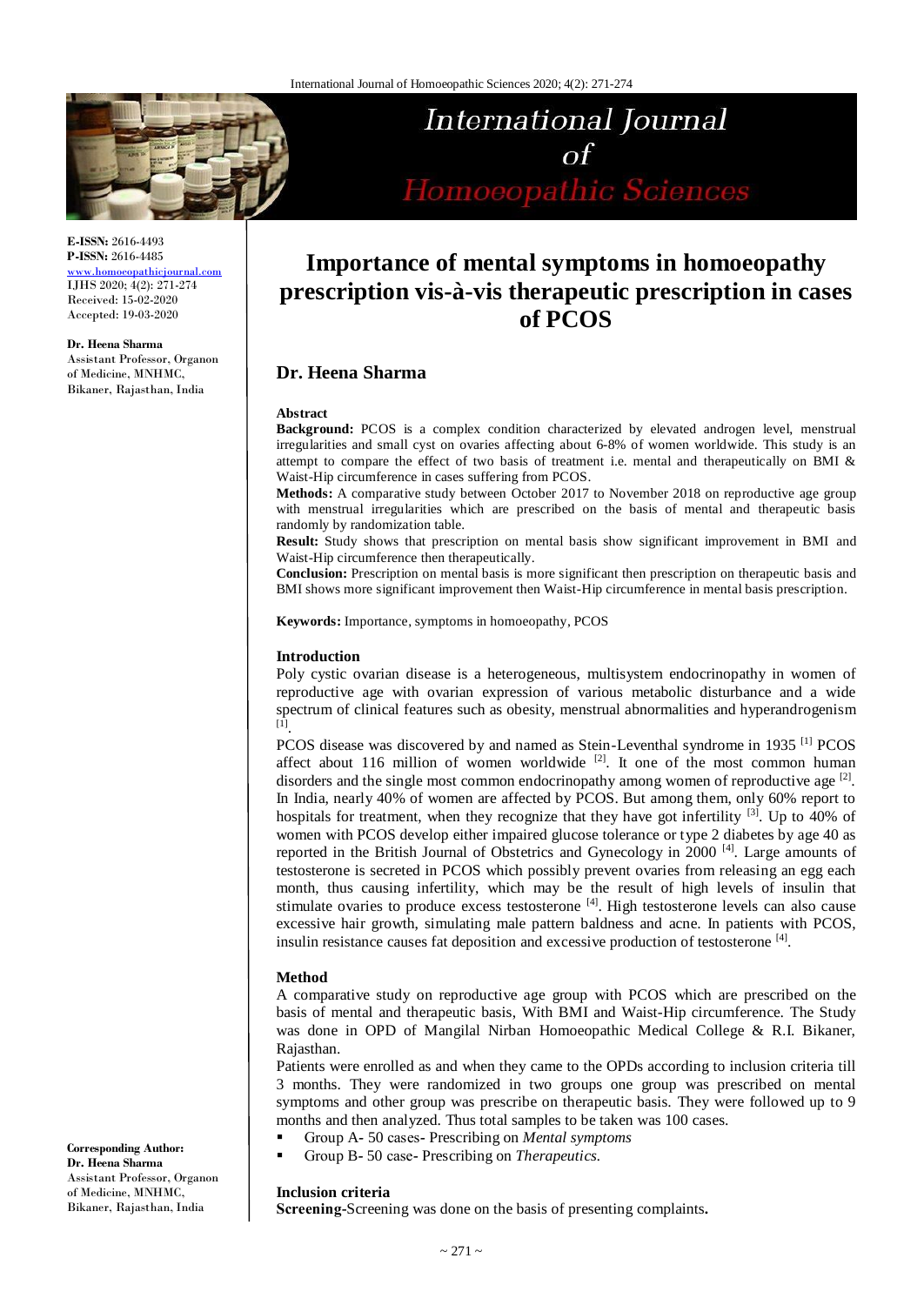

**E-ISSN:** 2616-4493 **P-ISSN:** 2616-4485

[www.homoeopathicjournal.com](http://www.homoeopathicjournal.com/) IJHS 2020; 4(2): 271-274 Received: 15-02-2020 Accepted: 19-03-2020

**Dr. Heena Sharma** Assistant Professor, Organon of Medicine, MNHMC, Bikaner, Rajasthan, India

**International Journal** Homoeopathic Sciences

# **Importance of mental symptoms in homoeopathy prescription vis-à-vis therapeutic prescription in cases of PCOS**

# **Dr. Heena Sharma**

#### **Abstract**

**Background:** PCOS is a complex condition characterized by elevated androgen level, menstrual irregularities and small cyst on ovaries affecting about 6-8% of women worldwide. This study is an attempt to compare the effect of two basis of treatment i.e. mental and therapeutically on BMI & Waist-Hip circumference in cases suffering from PCOS.

**Methods:** A comparative study between October 2017 to November 2018 on reproductive age group with menstrual irregularities which are prescribed on the basis of mental and therapeutic basis randomly by randomization table.

**Result:** Study shows that prescription on mental basis show significant improvement in BMI and Waist-Hip circumference then therapeutically.

**Conclusion:** Prescription on mental basis is more significant then prescription on therapeutic basis and BMI shows more significant improvement then Waist-Hip circumference in mental basis prescription.

**Keywords:** Importance, symptoms in homoeopathy, PCOS

# **Introduction**

Poly cystic ovarian disease is a heterogeneous, multisystem endocrinopathy in women of reproductive age with ovarian expression of various metabolic disturbance and a wide spectrum of clinical features such as obesity, menstrual abnormalities and hyperandrogenism<br><sup>[1]</sup>.

PCOS disease was discovered by and named as Stein-Leventhal syndrome in 1935<sup>[1]</sup> PCOS affect about 116 million of women worldwide  $[2]$ . It one of the most common human disorders and the single most common endocrinopathy among women of reproductive age  $[2]$ . In India, nearly 40% of women are affected by PCOS. But among them, only 60% report to hospitals for treatment, when they recognize that they have got infertility  $[3]$ . Up to 40% of women with PCOS develop either impaired glucose tolerance or type 2 diabetes by age 40 as reported in the British Journal of Obstetrics and Gynecology in 2000<sup>[4]</sup>. Large amounts of testosterone is secreted in PCOS which possibly prevent ovaries from releasing an egg each month, thus causing infertility, which may be the result of high levels of insulin that stimulate ovaries to produce excess testosterone [4]. High testosterone levels can also cause excessive hair growth, simulating male pattern baldness and acne. In patients with PCOS, insulin resistance causes fat deposition and excessive production of testosterone [4].

# **Method**

A comparative study on reproductive age group with PCOS which are prescribed on the basis of mental and therapeutic basis, With BMI and Waist-Hip circumference. The Study was done in OPD of Mangilal Nirban Homoeopathic Medical College & R.I. Bikaner, Rajasthan.

Patients were enrolled as and when they came to the OPDs according to inclusion criteria till 3 months. They were randomized in two groups one group was prescribed on mental symptoms and other group was prescribe on therapeutic basis. They were followed up to 9 months and then analyzed. Thus total samples to be taken was 100 cases.

- Group A*-* 50 cases*-* Prescribing on *Mental symptoms*
- Group B*-* 50 case*-* Prescribing on *Therapeutics.*

# **Inclusion criteria**

**Screening-**Screening was done on the basis of presenting complaints*.*

**Corresponding Author: Dr. Heena Sharma** Assistant Professor, Organon of Medicine, MNHMC, Bikaner, Rajasthan, India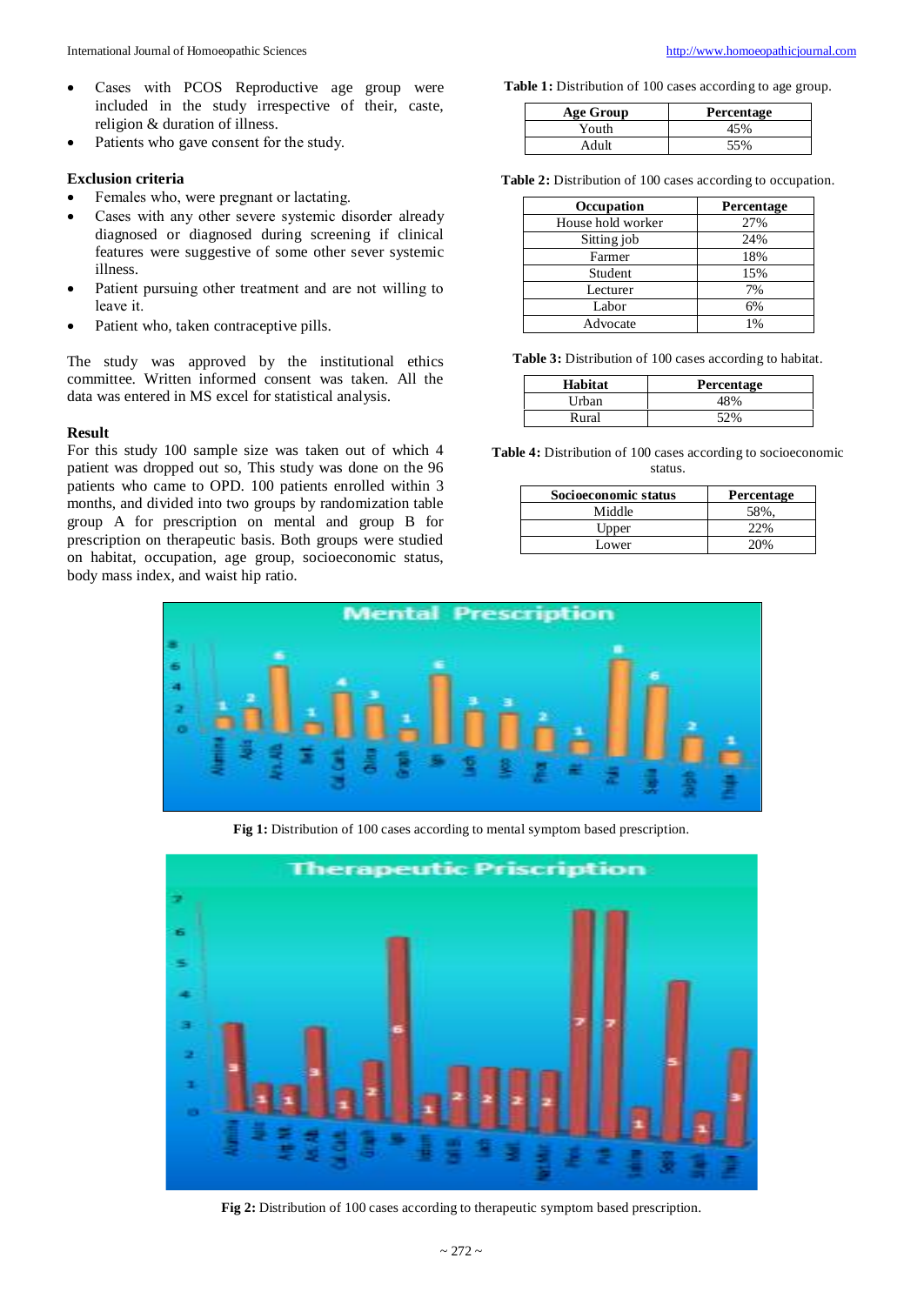- Cases with PCOS Reproductive age group were included in the study irrespective of their, caste, religion & duration of illness.
- Patients who gave con*s*ent for the study.

### **Exclusion criteria**

- Females who, were pregnant or lactating.
- Cases with any other severe systemic disorder already diagnosed or diagnosed during screening if clinical features were suggestive of some other sever systemic illness.
- Patient pursuing other treatment and are not willing to leave it.
- Patient who, taken contraceptive pills.

The study was approved by the institutional ethics committee. Written informed consent was taken. All the data was entered in MS excel for statistical analysis.

### **Result**

For this study 100 sample size was taken out of which 4 patient was dropped out so, This study was done on the 96 patients who came to OPD. 100 patients enrolled within 3 months, and divided into two groups by randomization table group A for prescription on mental and group B for prescription on therapeutic basis. Both groups were studied on habitat, occupation, age group, socioeconomic status, body mass index, and waist hip ratio.

**Table 1:** Distribution of 100 cases according to age group.

| Age Group | <b>Percentage</b> |
|-----------|-------------------|
| Youth     | 45%               |
| Adult     | 55%               |

**Table 2:** Distribution of 100 cases according to occupation.

| Occupation        | Percentage |
|-------------------|------------|
| House hold worker | 27%        |
| Sitting job       | 24%        |
| Farmer            | 18%        |
| Student           | 15%        |
| Lecturer          | 7%         |
| Labor             | 6%         |
| Advocate          | 1%         |

**Table 3:** Distribution of 100 cases according to habitat.

| Habitat | <b>Percentage</b> |
|---------|-------------------|
| Urban   | 48%               |
| Rural   | 52%               |

**Table 4:** Distribution of 100 cases according to socioeconomic status.

| Socioeconomic status | <b>Percentage</b> |
|----------------------|-------------------|
| Middle               | 58%.              |
| Upper                | 22%               |
| Lower                | 20\%              |



**Fig 1:** Distribution of 100 cases according to mental symptom based prescription.



**Fig 2:** Distribution of 100 cases according to therapeutic symptom based prescription.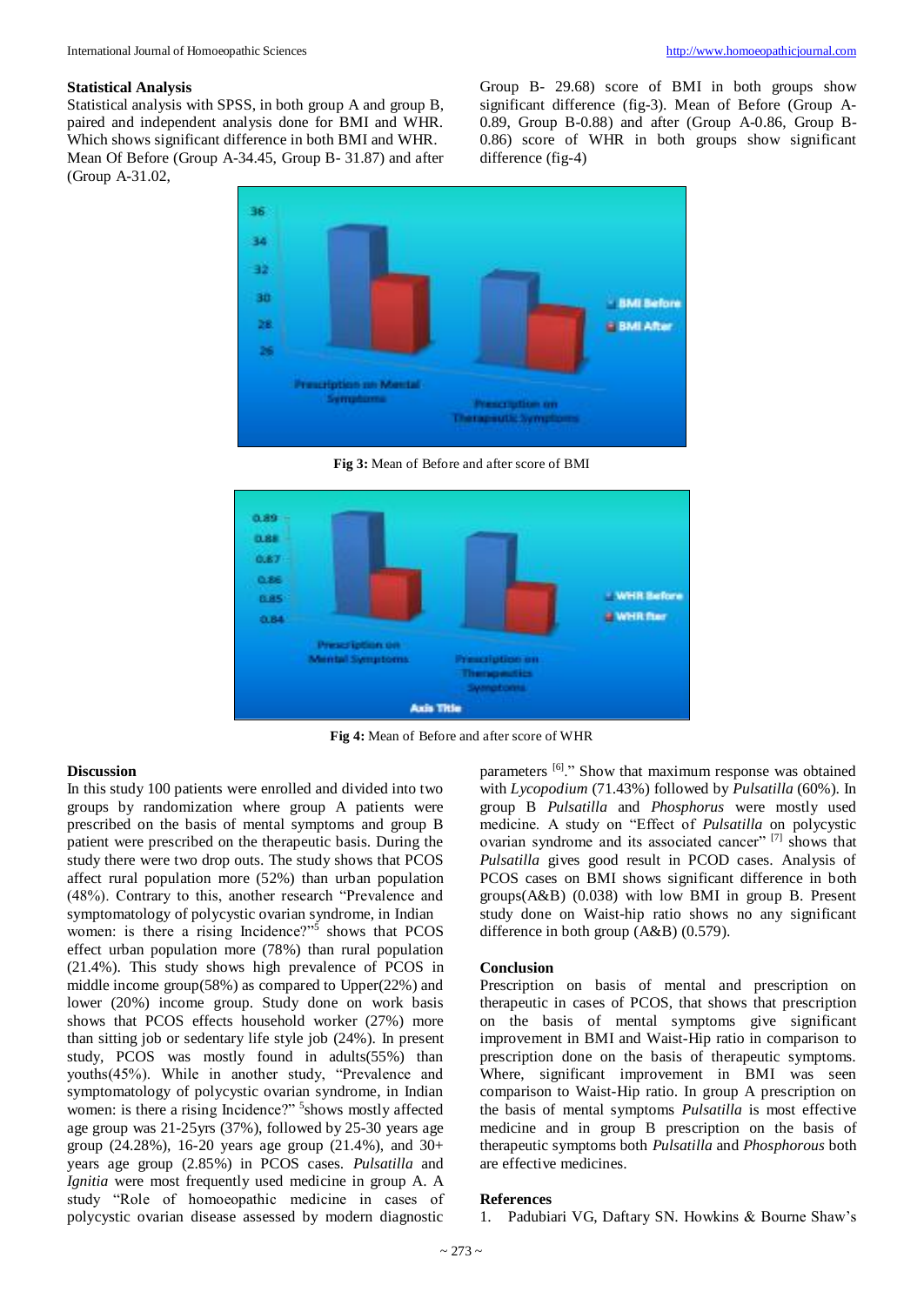#### **Statistical Analysis**

Statistical analysis with SPSS, in both group A and group B, paired and independent analysis done for BMI and WHR. Which shows significant difference in both BMI and WHR. Mean Of Before (Group A-34.45, Group B- 31.87) and after (Group A-31.02,

Group B- 29.68) score of BMI in both groups show significant difference (fig-3). Mean of Before (Group A-0.89, Group B-0.88) and after (Group A-0.86, Group B-0.86) score of WHR in both groups show significant difference (fig-4)



**Fig 3:** Mean of Before and after score of BMI



**Fig 4:** Mean of Before and after score of WHR

#### **Discussion**

In this study 100 patients were enrolled and divided into two groups by randomization where group A patients were prescribed on the basis of mental symptoms and group B patient were prescribed on the therapeutic basis. During the study there were two drop outs. The study shows that PCOS affect rural population more (52%) than urban population (48%). Contrary to this, another research "Prevalence and symptomatology of polycystic ovarian syndrome, in Indian women: is there a rising Incidence?"<sup>5</sup> shows that PCOS effect urban population more (78%) than rural population (21.4%). This study shows high prevalence of PCOS in middle income group(58%) as compared to Upper(22%) and lower (20%) income group. Study done on work basis shows that PCOS effects household worker (27%) more than sitting job or sedentary life style job (24%). In present study, PCOS was mostly found in adults(55%) than youths(45%). While in another study, "Prevalence and symptomatology of polycystic ovarian syndrome, in Indian women: is there a rising Incidence?" <sup>5</sup> shows mostly affected age group was 21-25yrs (37%), followed by 25-30 years age group (24.28%), 16-20 years age group (21.4%), and  $30+$ years age group (2.85%) in PCOS cases. *Pulsatilla* and *Ignitia* were most frequently used medicine in group A. A study "Role of homoeopathic medicine in cases of polycystic ovarian disease assessed by modern diagnostic

parameters <sup>[6]</sup>." Show that maximum response was obtained with *Lycopodium* (71.43%) followed by *Pulsatilla* (60%). In group B *Pulsatilla* and *Phosphorus* were mostly used medicine. A study on "Effect of *Pulsatilla* on polycystic ovarian syndrome and its associated cancer"<sup>[7]</sup> shows that *Pulsatilla* gives good result in PCOD cases. Analysis of PCOS cases on BMI shows significant difference in both groups(A&B) (0.038) with low BMI in group B. Present study done on Waist-hip ratio shows no any significant difference in both group (A&B) (0.579).

#### **Conclusion**

Prescription on basis of mental and prescription on therapeutic in cases of PCOS, that shows that prescription on the basis of mental symptoms give significant improvement in BMI and Waist-Hip ratio in comparison to prescription done on the basis of therapeutic symptoms. Where, significant improvement in BMI was seen comparison to Waist-Hip ratio. In group A prescription on the basis of mental symptoms *Pulsatilla* is most effective medicine and in group B prescription on the basis of therapeutic symptoms both *Pulsatilla* and *Phosphorous* both are effective medicines.

#### **References**

1. Padubiari VG, Daftary SN. Howkins & Bourne Shaw's